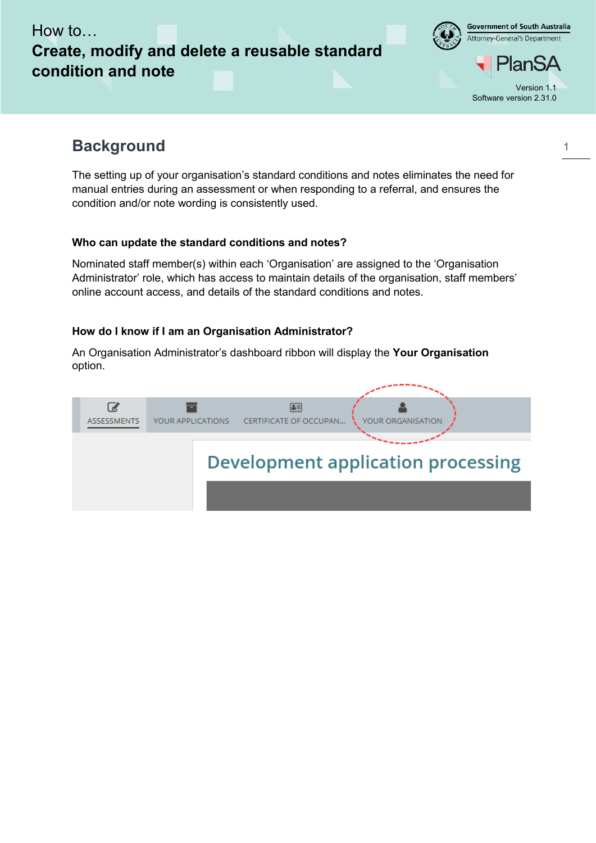Government of South Australia Attorney-General's Department

lan! Version 1.1 Software version 2.31.0

# **Background**

The setting up of your organisation's standard conditions and notes eliminates the need for manual entries during an assessment or when responding to a referral, and ensures the condition and/or note wording is consistently used.

# **Who can update the standard conditions and notes?**

Nominated staff member(s) within each 'Organisation' are assigned to the 'Organisation Administrator' role, which has access to maintain details of the organisation, staff members' online account access, and details of the standard conditions and notes.

# **How do I know if I am an Organisation Administrator?**

An Organisation Administrator's dashboard ribbon will display the **Your Organisation** option.

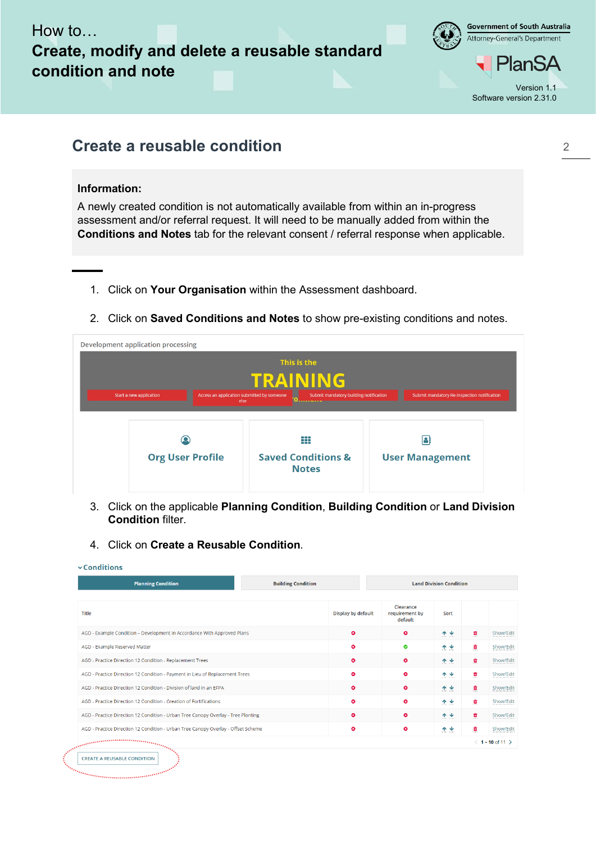

**Government of South Australia** Attorney-General's Department

2

# **Create a reusable condition**

## **Information:**

A newly created condition is not automatically available from within an in-progress assessment and/or referral request. It will need to be manually added from within the **Conditions and Notes** tab for the relevant consent / referral response when applicable.

- 1. Click on **Your Organisation** within the Assessment dashboard.
- 2. Click on **Saved Conditions and Notes** to show pre-existing conditions and notes.

| <b>Development application processing</b> |                                                                                                                                                       |                                             |
|-------------------------------------------|-------------------------------------------------------------------------------------------------------------------------------------------------------|---------------------------------------------|
|                                           | This is the                                                                                                                                           |                                             |
|                                           | TRAINING                                                                                                                                              |                                             |
| Start a new application                   | Access an application submitted by someone<br>Submit mandatory building notification<br>else<br><b><i><u>Property and Constitute Services</u></i></b> | Submit mandatory Re-Inspection notification |
|                                           |                                                                                                                                                       |                                             |
|                                           |                                                                                                                                                       |                                             |
| O                                         | ₩                                                                                                                                                     | А                                           |
| <b>Org User Profile</b>                   | <b>Saved Conditions &amp;</b><br><b>Notes</b>                                                                                                         | <b>User Management</b>                      |
|                                           |                                                                                                                                                       |                                             |

- 3. Click on the applicable **Planning Condition**, **Building Condition** or **Land Division Condition** filter.
- 4. Click on **Create a Reusable Condition**.

| <b>Planning Condition</b>                                                                                                                                                                                                         | <b>Building Condition</b> |                                        | <b>Land Division Condition</b> |                     |                           |
|-----------------------------------------------------------------------------------------------------------------------------------------------------------------------------------------------------------------------------------|---------------------------|----------------------------------------|--------------------------------|---------------------|---------------------------|
| Title                                                                                                                                                                                                                             | Display by default        | Clearance<br>requirement by<br>default | Sort                           |                     |                           |
| AGD - Example Condition - Development in Accordance With Approved Plans                                                                                                                                                           | o                         | $\bullet$                              | 个业                             | û                   | Show/Edi                  |
| AGD - Example Reserved Matter                                                                                                                                                                                                     | $\bullet$                 | ۰                                      | ᠰᢦ                             | û                   | Show/Edi                  |
| AGD - Practice Direction 12 Condition - Replacement Trees                                                                                                                                                                         | $\bullet$                 | $\bullet$                              | 个业                             | û<br><b>British</b> | Show/Edi                  |
| AGD - Practice Direction 12 Condition - Payment in Lieu of Replacement Trees                                                                                                                                                      | $\bullet$                 | o                                      | ᠰ৺                             | ٥                   | Show/Edi                  |
| AGD - Practice Direction 12 Condition - Division of land in an EEPA                                                                                                                                                               | $\bullet$                 | ۰                                      | 个业                             | û                   | Show/Edi                  |
| AGD - Practice Direction 12 Condition - Creation of Fortifications                                                                                                                                                                | $\bullet$                 | $\bullet$                              | 个业                             | ٥                   | Show/Edi                  |
| AGD - Practice Direction 12 Condition - Urban Tree Canopy Overlay - Tree Planting                                                                                                                                                 | $\bullet$                 | $\bullet$                              | 个业                             | Ô                   | Show/Edi                  |
| AGD - Practice Direction 12 Condition - Urban Tree Canopy Overlay - Offset Scheme                                                                                                                                                 | $\bullet$                 | o                                      | 个业                             | ٥                   | Show/Edi                  |
| alah seorang perangan kecamatan banyak di perangan perangan perangan perangan perangan perangan perangan peran<br>Perang perang perang perang perang perang perang perang perang perang perang perang perang perang perang perang |                           |                                        |                                |                     | $(1 - 10 \text{ of } 11)$ |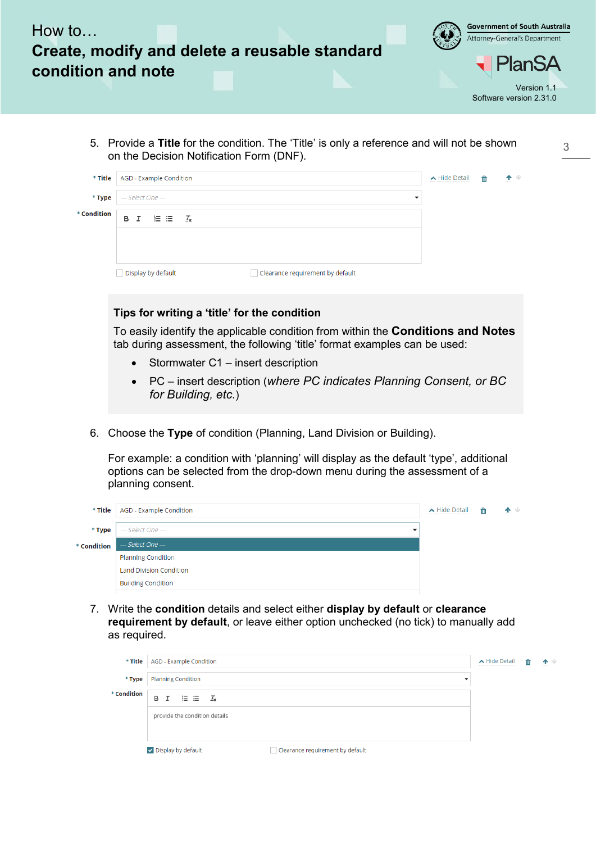

|             | * Title   AGD - Example Condition |                                  | $\bigwedge$ Hide Detail<br>----------------------------- | ति | 个业<br><b>ALCOHOL</b> |
|-------------|-----------------------------------|----------------------------------|----------------------------------------------------------|----|----------------------|
| * Type      | --- Select One ---                |                                  |                                                          |    |                      |
| * Condition | $B I \equiv \equiv I_x$           |                                  |                                                          |    |                      |
|             |                                   |                                  |                                                          |    |                      |
|             |                                   |                                  |                                                          |    |                      |
|             | Display by default                | Clearance requirement by default |                                                          |    |                      |

### **Tips for writing a 'title' for the condition**

To easily identify the applicable condition from within the **Conditions and Notes** tab during assessment, the following 'title' format examples can be used:

- Stormwater C1 insert description
- PC insert description (*where PC indicates Planning Consent, or BC for Building, etc.*)
- 6. Choose the **Type** of condition (Planning, Land Division or Building).

For example: a condition with 'planning' will display as the default 'type', additional options can be selected from the drop-down menu during the assessment of a planning consent.

|             | * Title   AGD - Example Condition              | ▲ Hide Detail | m | 个业 |
|-------------|------------------------------------------------|---------------|---|----|
| $*$ Type    | --- Select One ---<br>$\overline{\phantom{a}}$ |               |   |    |
| * Condition | --- Select One ---                             |               |   |    |
|             | <b>Planning Condition</b>                      |               |   |    |
|             | <b>Land Division Condition</b>                 |               |   |    |
|             | <b>Building Condition</b>                      |               |   |    |

7. Write the **condition** details and select either **display by default** or **clearance requirement by default**, or leave either option unchecked (no tick) to manually add as required.

| * Title     | AGD - Example Condition                                | ▲ Hide Detail | 血 | 个业 |
|-------------|--------------------------------------------------------|---------------|---|----|
| $*$ Type    | <b>Planning Condition</b><br>$\overline{\phantom{a}}$  |               |   |    |
| * Condition | $\Xi \equiv \frac{T_x}{T_x}$<br>B I                    |               |   |    |
|             | provide the condition details                          |               |   |    |
|             |                                                        |               |   |    |
|             | Display by default<br>Clearance requirement by default |               |   |    |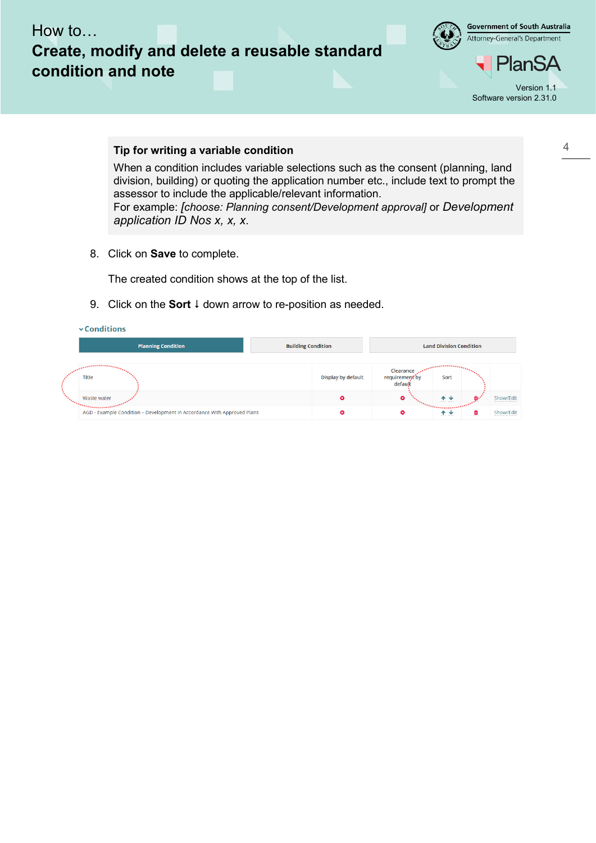

**Government of South Australia** Attorney-General's Department

PlanSA Version 1.1 Software version 2.31.0

#### **Tip for writing a variable condition**

When a condition includes variable selections such as the consent (planning, land division, building) or quoting the application number etc., include text to prompt the assessor to include the applicable/relevant information. For example: *[choose: Planning consent/Development approval]* or *Development application ID Nos x, x, x*.

8. Click on **Save** to complete.

The created condition shows at the top of the list.

9. Click on the **Sort**  $\downarrow$  down arrow to re-position as needed.

| <b>Planning Condition</b>                                                                  | <b>Building Condition</b> |                                        | <b>Land Division Condition</b>             |           |
|--------------------------------------------------------------------------------------------|---------------------------|----------------------------------------|--------------------------------------------|-----------|
| <b>Title</b>                                                                               | Display by default        | Clearance<br>requirement by<br>default | Sort                                       |           |
| Waste water                                                                                | ఴ                         | o                                      | 个业<br>arrest and                           | Show/Edit |
| 175555555555557<br>AGD - Example Condition - Development in Accordance With Approved Plans | ø                         | ø                                      | ,,,,,,,,,,,,,,<br>w<br>T.<br>access access | Show/Edit |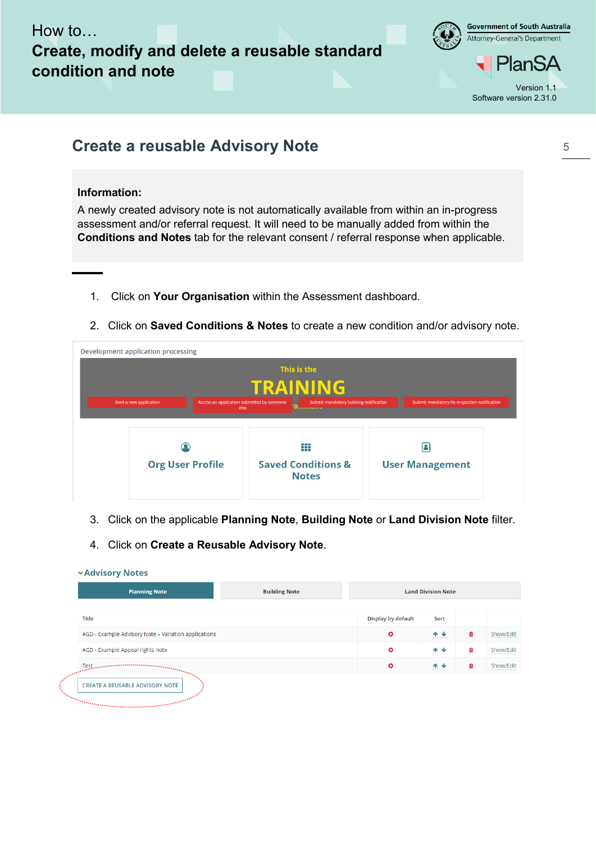

**Government of South Australia** Attorney-General's Department

# **Create a reusable Advisory Note**

## **Information:**

A newly created advisory note is not automatically available from within an in-progress assessment and/or referral request. It will need to be manually added from within the **Conditions and Notes** tab for the relevant consent / referral response when applicable.

- 1. Click on **Your Organisation** within the Assessment dashboard.
- 2. Click on **Saved Conditions & Notes** to create a new condition and/or advisory note.

| <b>Development application processing</b> |                                                                                |                                                                                       |
|-------------------------------------------|--------------------------------------------------------------------------------|---------------------------------------------------------------------------------------|
|                                           | This is the                                                                    |                                                                                       |
|                                           | <b>TRAINING</b>                                                                |                                                                                       |
| Start a new application                   | Access an application submitted by someone<br>else<br><u>(жылымынынын жылы</u> | Submit mandatory building notification<br>Submit mandatory Re-Inspection notification |
|                                           |                                                                                |                                                                                       |
|                                           |                                                                                |                                                                                       |
|                                           | ₩                                                                              | I٩                                                                                    |
| <b>Org User Profile</b>                   | <b>Saved Conditions &amp;</b><br><b>Notes</b>                                  | <b>User Management</b>                                                                |
|                                           |                                                                                |                                                                                       |

- 3. Click on the applicable **Planning Note**, **Building Note** or **Land Division Note** filter.
- 4. Click on **Create a Reusable Advisory Note**.

### **vAdvisory Notes**

| <b>Planning Note</b>                                                                                                                                                                                                                                                                                                                                                                                                                                                                                           | <b>Building Note</b> |                    | <b>Land Division Note</b> |   |           |
|----------------------------------------------------------------------------------------------------------------------------------------------------------------------------------------------------------------------------------------------------------------------------------------------------------------------------------------------------------------------------------------------------------------------------------------------------------------------------------------------------------------|----------------------|--------------------|---------------------------|---|-----------|
| <b>Title</b>                                                                                                                                                                                                                                                                                                                                                                                                                                                                                                   |                      | Display by default | Sort                      |   |           |
| AGD - Example Advisory Note - Variation applications                                                                                                                                                                                                                                                                                                                                                                                                                                                           |                      | o                  | 个业                        | û | Show/Edit |
| AGD - Example Appeal rights note                                                                                                                                                                                                                                                                                                                                                                                                                                                                               |                      | $\bullet$          | 个业                        | û | Show/Edit |
| $\mathsf{Test}_{\mathsf{invariant}, \mathsf{invariant}, \mathsf{invariant}, \mathsf{in}, \mathsf{in}, \mathsf{in}, \mathsf{in}, \mathsf{in}, \mathsf{in}, \mathsf{in}, \mathsf{in}, \mathsf{in}, \mathsf{in}, \mathsf{in}, \mathsf{in}, \mathsf{in}, \mathsf{in}, \mathsf{in}, \mathsf{in}, \mathsf{in}, \mathsf{in}, \mathsf{in}, \mathsf{in}, \mathsf{in}, \mathsf{in}, \mathsf{in}, \mathsf{in}, \mathsf{in}, \mathsf{in}, \mathsf{in}, \mathsf{in}, \mathsf{in}, \mathsf{in}, \mathsf{in}, \mathsf{in}, \$ |                      | $\bullet$          | 个业                        | Ô | Show/Edit |
| <b>CREATE A REUSABLE ADVISORY NOTE</b><br>in a comparative and a comparative and a comparative and a comparative and a comparative of the comparative of                                                                                                                                                                                                                                                                                                                                                       |                      |                    |                           |   |           |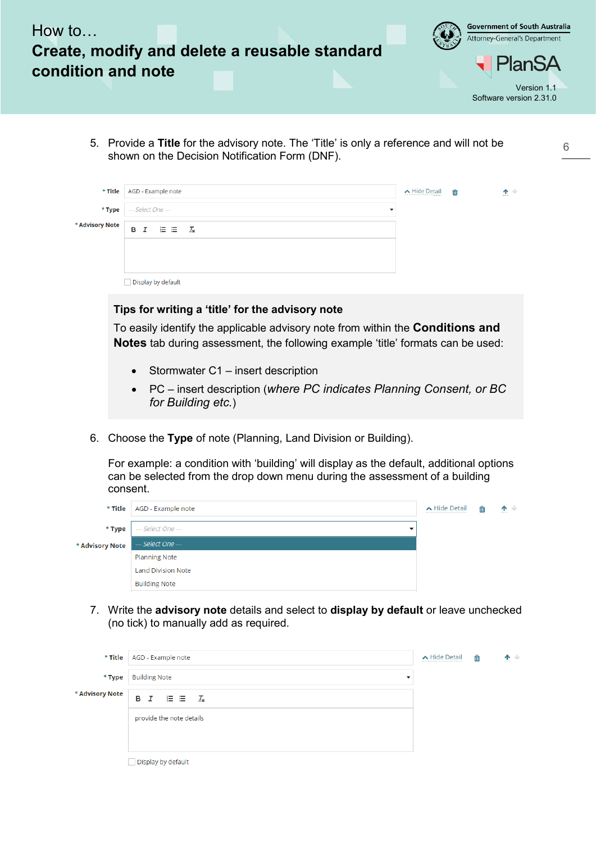

5. Provide a **Title** for the advisory note. The 'Title' is only a reference and will not be shown on the Decision Notification Form (DNF).

6

|                      | * Title   AGD - Example note                            | ▲ Hide Detail<br> | 面 | 个业<br>------- |
|----------------------|---------------------------------------------------------|-------------------|---|---------------|
|                      | * Type   --- Select One ---<br>$\overline{\phantom{a}}$ |                   |   |               |
| <b>Advisory Note</b> | $\equiv$ $\equiv$ $\frac{7}{8}$<br>B I                  |                   |   |               |
|                      |                                                         |                   |   |               |
|                      |                                                         |                   |   |               |
|                      | Display by default                                      |                   |   |               |

#### **Tips for writing a 'title' for the advisory note**

To easily identify the applicable advisory note from within the **Conditions and Notes** tab during assessment, the following example 'title' formats can be used:

- Stormwater C1 insert description
- PC insert description (*where PC indicates Planning Consent, or BC for Building etc.*)
- 6. Choose the **Type** of note (Planning, Land Division or Building).

For example: a condition with 'building' will display as the default, additional options can be selected from the drop down menu during the assessment of a building consent.

|                 | * Title   AGD - Example note | ▲ Hide Detail | 血 | 个业 |
|-----------------|------------------------------|---------------|---|----|
| * Type          | --- Select One ---           |               |   |    |
| * Advisory Note | --- Select One ---           |               |   |    |
|                 | <b>Planning Note</b>         |               |   |    |
|                 | <b>Land Division Note</b>    |               |   |    |
|                 | <b>Building Note</b>         |               |   |    |
|                 |                              |               |   |    |

7. Write the **advisory note** details and select to **display by default** or leave unchecked (no tick) to manually add as required.

|                 | * Title   AGD - Example note | ▲ Hide Detail | 面 | 个业<br>------- |
|-----------------|------------------------------|---------------|---|---------------|
| * Type          | <b>Building Note</b><br>٠    |               |   |               |
| * Advisory Note | B $I \equiv \equiv I_x$      |               |   |               |
|                 | provide the note details     |               |   |               |
|                 |                              |               |   |               |
|                 | Display by default           |               |   |               |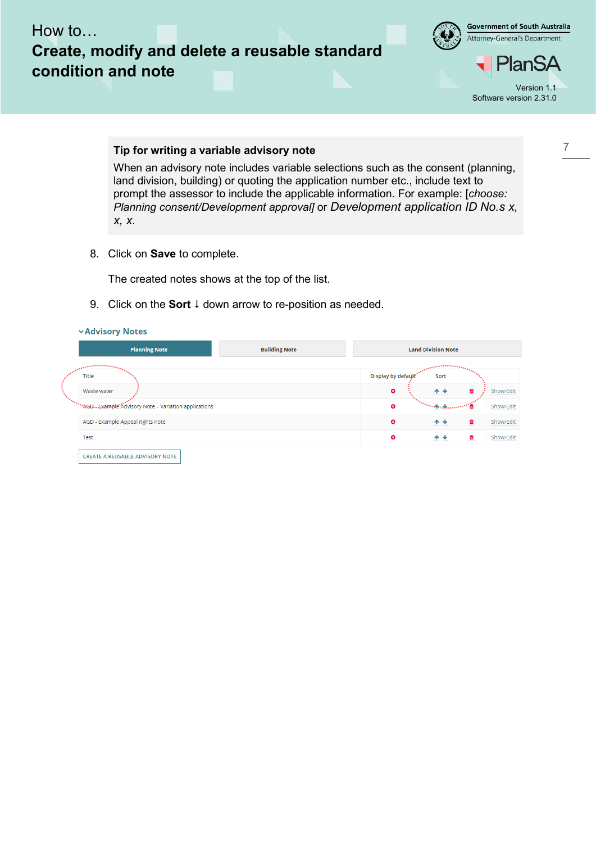

**Government of South Australia** Attorney-General's Department

PlanSA Version 1.1 Software version 2.31.0

#### **Tip for writing a variable advisory note**

When an advisory note includes variable selections such as the consent (planning, land division, building) or quoting the application number etc., include text to prompt the assessor to include the applicable information. For example: [*choose: Planning consent/Development approval]* or *Development application ID No.s x, x, x.*

8. Click on **Save** to complete.

The created notes shows at the top of the list.

9. Click on the **Sort**  $\downarrow$  down arrow to re-position as needed.

|                                         | <b>Planning Note</b>                                  | <b>Building Note</b> | <b>Land Division Note</b> |                                            |   |           |
|-----------------------------------------|-------------------------------------------------------|----------------------|---------------------------|--------------------------------------------|---|-----------|
| <b>Constitution of the Constitution</b> |                                                       |                      |                           | <b>Continued in the Community</b>          |   |           |
| Title                                   |                                                       |                      | Display by default        | Sort                                       |   |           |
| Waste water                             |                                                       |                      | $\bullet$                 | 个业                                         | ≘ | Show/Edit |
|                                         | **AGD. Example Advisory Note - Variation applications |                      | O                         | <b>Three</b> calcula<br><b>AUTOR AUTOR</b> |   | Show/Edit |
|                                         | AGD - Example Appeal rights note                      |                      | $\bullet$                 | 个业                                         | û | Show/Edit |
| Test                                    |                                                       |                      | $\bullet$                 | 个业                                         | Û | Show/Edit |

#### 7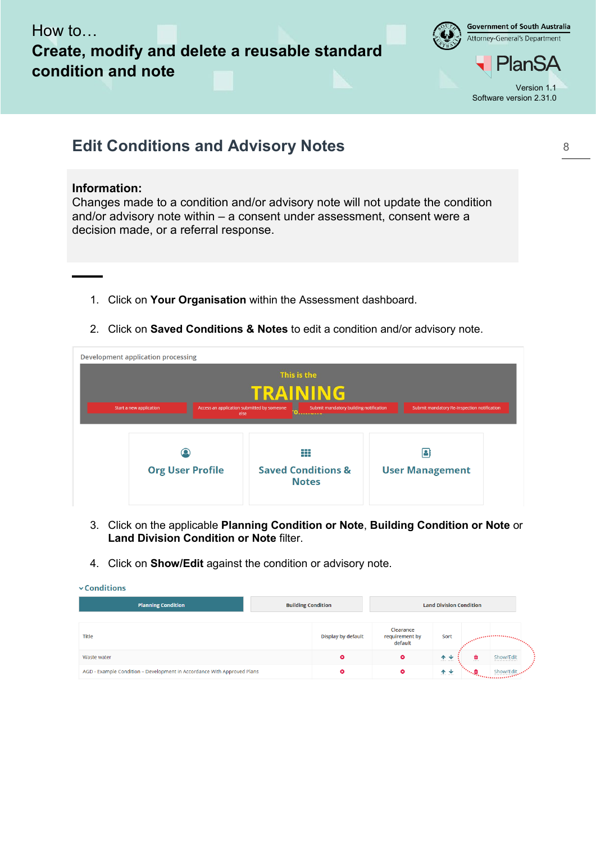

**Government of South Australia** Attorney-General's Department

PlanSA Version 1.1 Software version 2.31.0

8

# **Edit Conditions and Advisory Notes**

### **Information:**

Changes made to a condition and/or advisory note will not update the condition and/or advisory note within – a consent under assessment, consent were a decision made, or a referral response.

- 1. Click on **Your Organisation** within the Assessment dashboard.
- 2. Click on **Saved Conditions & Notes** to edit a condition and/or advisory note.

| <b>Development application processing</b>                                                                                                                                                                     |                         |                                               |                        |  |  |
|---------------------------------------------------------------------------------------------------------------------------------------------------------------------------------------------------------------|-------------------------|-----------------------------------------------|------------------------|--|--|
| This is the                                                                                                                                                                                                   |                         |                                               |                        |  |  |
| TRAINING                                                                                                                                                                                                      |                         |                                               |                        |  |  |
| Access an application submitted by someone<br>Submit mandatory building notification<br>Start a new application<br>Submit mandatory Re-Inspection notification<br>else<br><b><i>URORORO BIORISTA RORO</i></b> |                         |                                               |                        |  |  |
|                                                                                                                                                                                                               |                         |                                               |                        |  |  |
|                                                                                                                                                                                                               |                         | ₩                                             | В                      |  |  |
|                                                                                                                                                                                                               | <b>Org User Profile</b> | <b>Saved Conditions &amp;</b><br><b>Notes</b> | <b>User Management</b> |  |  |
|                                                                                                                                                                                                               |                         |                                               |                        |  |  |

- 3. Click on the applicable **Planning Condition or Note**, **Building Condition or Note** or **Land Division Condition or Note** filter.
- 4. Click on **Show/Edit** against the condition or advisory note.

| $\vee$ Conditions                                                       |                           |                                        |                                |                                                                                                                                                                                                                                                                                                                                                                                                                             |                                                                                                                                                                                                                                                                                                                 |
|-------------------------------------------------------------------------|---------------------------|----------------------------------------|--------------------------------|-----------------------------------------------------------------------------------------------------------------------------------------------------------------------------------------------------------------------------------------------------------------------------------------------------------------------------------------------------------------------------------------------------------------------------|-----------------------------------------------------------------------------------------------------------------------------------------------------------------------------------------------------------------------------------------------------------------------------------------------------------------|
| <b>Planning Condition</b>                                               | <b>Building Condition</b> | <b>Land Division Condition</b>         |                                |                                                                                                                                                                                                                                                                                                                                                                                                                             |                                                                                                                                                                                                                                                                                                                 |
| <b>Title</b>                                                            | Display by default        | Clearance<br>requirement by<br>default | Sort                           |                                                                                                                                                                                                                                                                                                                                                                                                                             | $\label{eq:1} \begin{split} &\mathcal{L}_{\mathcal{A}}\left(\mathcal{L}_{\mathcal{A}}\right) = \mathcal{L}_{\mathcal{A}}\left(\mathcal{L}_{\mathcal{A}}\right) = \mathcal{L}_{\mathcal{A}}\left(\mathcal{L}_{\mathcal{A}}\right) = \mathcal{L}_{\mathcal{A}}\left(\mathcal{L}_{\mathcal{A}}\right) \end{split}$ |
| Waste water                                                             | ⊖                         | $\bullet$                              | ᠰ<br>w<br><b>BELLEY BERRIE</b> | ٥<br><b>BELLER</b>                                                                                                                                                                                                                                                                                                                                                                                                          | Show/Edit                                                                                                                                                                                                                                                                                                       |
| AGD - Example Condition - Development in Accordance With Approved Plans | ø                         | $\bullet$                              | 个业<br>assess access            | $\label{eq:3} \mathcal{L} = \frac{\partial \phi_{\mathbf{r}} \prod_{i=1}^m \phi_{\mathbf{r}}}{\partial \phi_{\mathbf{r}} \prod_{i=1}^m \phi_{\mathbf{r}} \prod_{i=1}^m \phi_{\mathbf{r}} \prod_{i=1}^m \phi_{\mathbf{r}} \prod_{i=1}^m \phi_{\mathbf{r}} \prod_{i=1}^m \phi_{\mathbf{r}} \prod_{i=1}^m \phi_{\mathbf{r}} \prod_{i=1}^m \phi_{\mathbf{r}} \prod_{i=1}^m \phi_{\mathbf{r}} \prod_{i=1}^m \phi_{\mathbf{r}} \$ | Show/Edi                                                                                                                                                                                                                                                                                                        |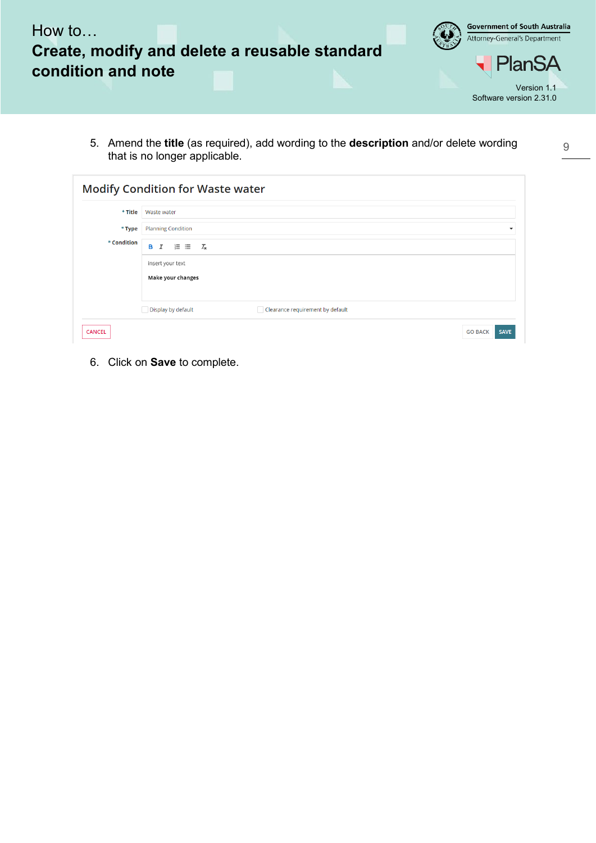

5. Amend the **title** (as required), add wording to the **description** and/or delete wording that is no longer applicable.

9

| * Title     | Waste water                               |                                  |
|-------------|-------------------------------------------|----------------------------------|
| * Type      | <b>Planning Condition</b>                 |                                  |
| * Condition | в<br>$\mathcal{I}$<br>$T_{\rm x}$<br>1日 日 |                                  |
|             | insert your text                          |                                  |
|             | Make your changes                         |                                  |
|             |                                           |                                  |
|             | Display by default                        | Clearance requirement by default |

6. Click on **Save** to complete.